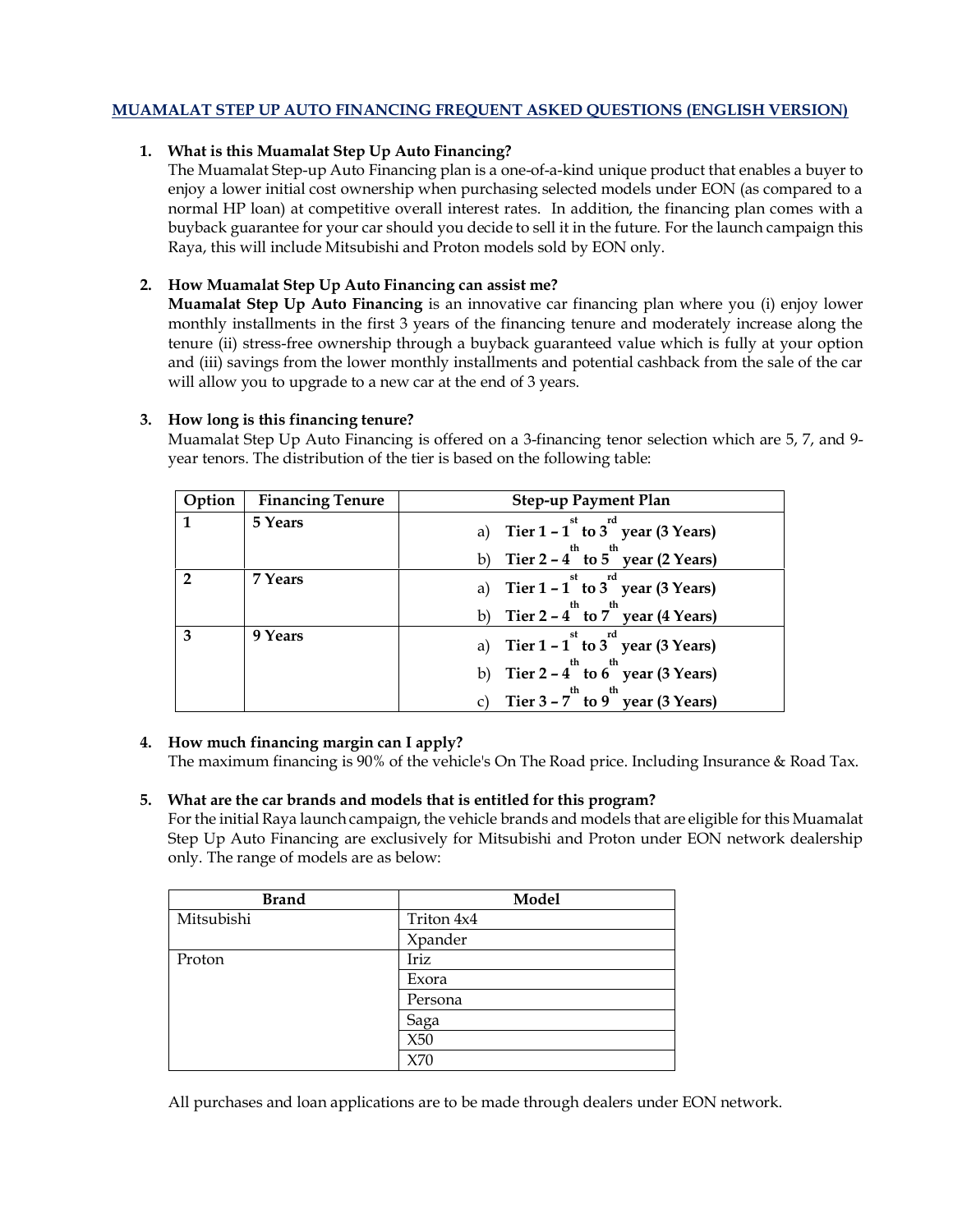## **MUAMALAT STEP UP AUTO FINANCING FREQUENT ASKED QUESTIONS (ENGLISH VERSION)**

### **1. What is this Muamalat Step Up Auto Financing?**

The Muamalat Step-up Auto Financing plan is a one-of-a-kind unique product that enables a buyer to enjoy a lower initial cost ownership when purchasing selected models under EON (as compared to a normal HP loan) at competitive overall interest rates. In addition, the financing plan comes with a buyback guarantee for your car should you decide to sell it in the future. For the launch campaign this Raya, this will include Mitsubishi and Proton models sold by EON only.

## **2. How Muamalat Step Up Auto Financing can assist me?**

**Muamalat Step Up Auto Financing** is an innovative car financing plan where you (i) enjoy lower monthly installments in the first 3 years of the financing tenure and moderately increase along the tenure (ii) stress-free ownership through a buyback guaranteed value which is fully at your option and (iii) savings from the lower monthly installments and potential cashback from the sale of the car will allow you to upgrade to a new car at the end of 3 years.

### **3. How long is this financing tenure?**

Muamalat Step Up Auto Financing is offered on a 3-financing tenor selection which are 5, 7, and 9 year tenors. The distribution of the tier is based on the following table:

| Option       | <b>Financing Tenure</b> | <b>Step-up Payment Plan</b>                                     |
|--------------|-------------------------|-----------------------------------------------------------------|
| $\mathbf{1}$ | 5 Years                 | a) Tier $1 - 1$ <sup>st</sup> to $3^{rd}$ year (3 Years)        |
|              |                         | b) Tier $2 - 4$ <sup>th</sup> to 5 <sup>th</sup> year (2 Years) |
| 2            | 7 Years                 | a) Tier $1 - 1$ <sup>st</sup> to $3^{rd}$ year (3 Years)        |
|              |                         | b) Tier $2 - 4$ <sup>th</sup> to 7 <sup>th</sup> year (4 Years) |
| 3            | 9 Years                 | a) Tier $1 - 1$ <sup>st</sup> to $3^{rd}$ year (3 Years)        |
|              |                         | b) Tier $2 - 4$ <sup>th</sup> to $6^{th}$ year (3 Years)        |
|              |                         | c) Tier $3 - 7$ <sup>th</sup> to 9 <sup>th</sup> year (3 Years) |

## **4. How much financing margin can I apply?**

The maximum financing is 90% of the vehicle's On The Road price. Including Insurance & Road Tax.

#### **5. What are the car brands and models that is entitled for this program?**

For the initial Raya launch campaign, the vehicle brands and models that are eligible for this Muamalat Step Up Auto Financing are exclusively for Mitsubishi and Proton under EON network dealership only. The range of models are as below:

| <b>Brand</b> | Model      |
|--------------|------------|
| Mitsubishi   | Triton 4x4 |
|              | Xpander    |
| Proton       | Iriz       |
|              | Exora      |
|              | Persona    |
|              | Saga       |
|              | X50        |
|              | X70        |

All purchases and loan applications are to be made through dealers under EON network.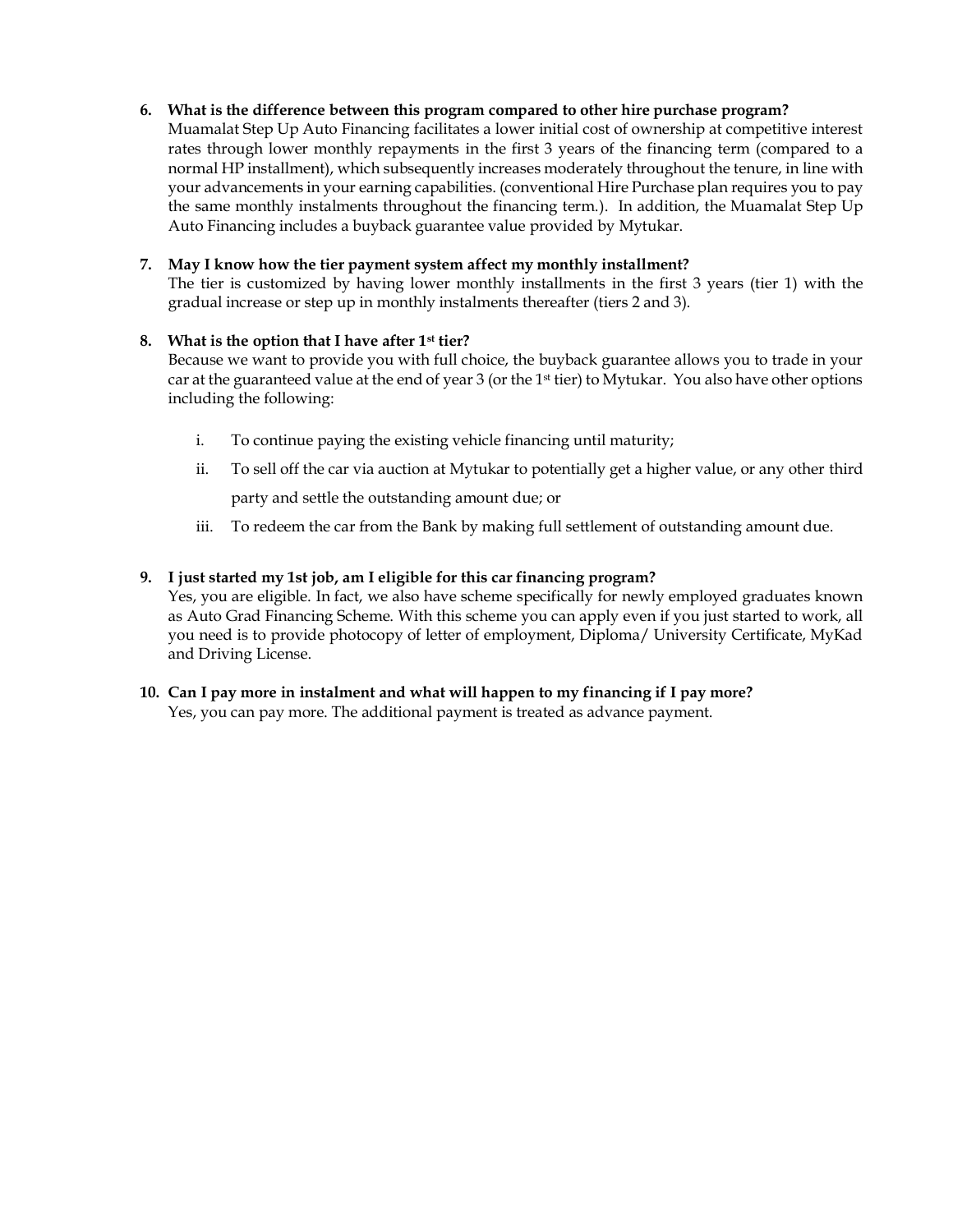## **6. What is the difference between this program compared to other hire purchase program?**

Muamalat Step Up Auto Financing facilitates a lower initial cost of ownership at competitive interest rates through lower monthly repayments in the first 3 years of the financing term (compared to a normal HP installment), which subsequently increases moderately throughout the tenure, in line with your advancements in your earning capabilities. (conventional Hire Purchase plan requires you to pay the same monthly instalments throughout the financing term.). In addition, the Muamalat Step Up Auto Financing includes a buyback guarantee value provided by Mytukar.

## **7. May I know how the tier payment system affect my monthly installment?**

The tier is customized by having lower monthly installments in the first 3 years (tier 1) with the gradual increase or step up in monthly instalments thereafter (tiers 2 and 3).

### **8. What is the option that I have after 1st tier?**

Because we want to provide you with full choice, the buyback guarantee allows you to trade in your car at the guaranteed value at the end of year 3 (or the 1<sup>st</sup> tier) to Mytukar. You also have other options including the following:

- i. To continue paying the existing vehicle financing until maturity;
- ii. To sell off the car via auction at Mytukar to potentially get a higher value, or any other third party and settle the outstanding amount due; or
- iii. To redeem the car from the Bank by making full settlement of outstanding amount due.

## **9. I just started my 1st job, am I eligible for this car financing program?**

Yes, you are eligible. In fact, we also have scheme specifically for newly employed graduates known as Auto Grad Financing Scheme. With this scheme you can apply even if you just started to work, all you need is to provide photocopy of letter of employment, Diploma/ University Certificate, MyKad and Driving License.

### **10. Can I pay more in instalment and what will happen to my financing if I pay more?** Yes, you can pay more. The additional payment is treated as advance payment.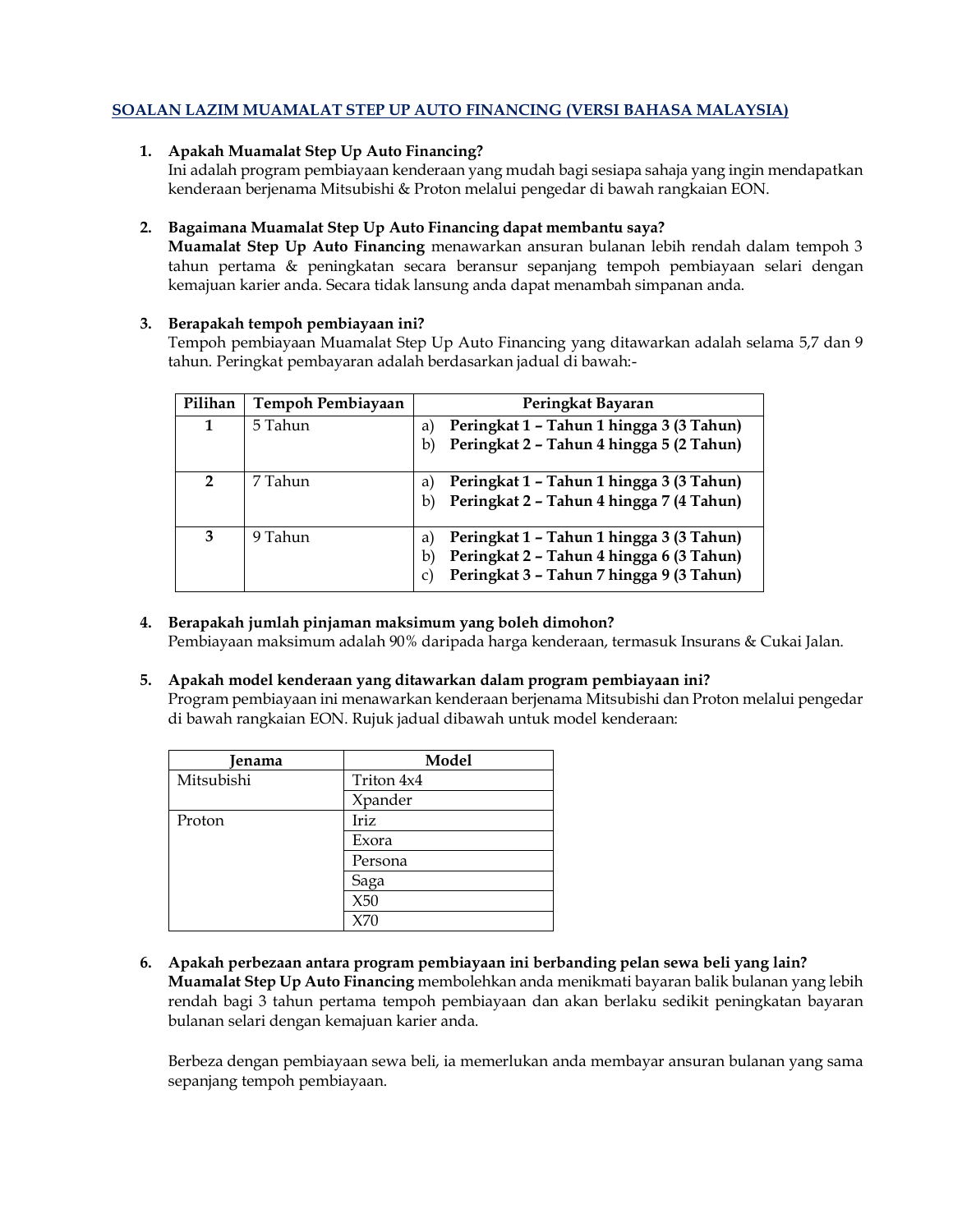# **SOALAN LAZIM MUAMALAT STEP UP AUTO FINANCING (VERSI BAHASA MALAYSIA)**

### **1. Apakah Muamalat Step Up Auto Financing?**

Ini adalah program pembiayaan kenderaan yang mudah bagi sesiapa sahaja yang ingin mendapatkan kenderaan berjenama Mitsubishi & Proton melalui pengedar di bawah rangkaian EON.

## **2. Bagaimana Muamalat Step Up Auto Financing dapat membantu saya?**

**Muamalat Step Up Auto Financing** menawarkan ansuran bulanan lebih rendah dalam tempoh 3 tahun pertama & peningkatan secara beransur sepanjang tempoh pembiayaan selari dengan kemajuan karier anda. Secara tidak lansung anda dapat menambah simpanan anda.

### **3. Berapakah tempoh pembiayaan ini?**

Tempoh pembiayaan Muamalat Step Up Auto Financing yang ditawarkan adalah selama 5,7 dan 9 tahun. Peringkat pembayaran adalah berdasarkan jadual di bawah:-

| Pilihan        | Tempoh Pembiayaan | Peringkat Bayaran                                                                                                                          |
|----------------|-------------------|--------------------------------------------------------------------------------------------------------------------------------------------|
| 1              | 5 Tahun           | Peringkat 1 - Tahun 1 hingga 3 (3 Tahun)<br>a)<br>Peringkat 2 - Tahun 4 hingga 5 (2 Tahun)<br>b)                                           |
| $\overline{2}$ | 7 Tahun           | Peringkat 1 - Tahun 1 hingga 3 (3 Tahun)<br>al<br>Peringkat 2 - Tahun 4 hingga 7 (4 Tahun)<br>þ,                                           |
| 3              | 9 Tahun           | Peringkat 1 - Tahun 1 hingga 3 (3 Tahun)<br>a<br>Peringkat 2 - Tahun 4 hingga 6 (3 Tahun)<br>b<br>Peringkat 3 - Tahun 7 hingga 9 (3 Tahun) |

**4. Berapakah jumlah pinjaman maksimum yang boleh dimohon?** Pembiayaan maksimum adalah 90% daripada harga kenderaan, termasuk Insurans & Cukai Jalan.

#### **5. Apakah model kenderaan yang ditawarkan dalam program pembiayaan ini?**

Program pembiayaan ini menawarkan kenderaan berjenama Mitsubishi dan Proton melalui pengedar di bawah rangkaian EON. Rujuk jadual dibawah untuk model kenderaan:

| Tenama     | Model      |
|------------|------------|
| Mitsubishi | Triton 4x4 |
|            | Xpander    |
| Proton     | Iriz       |
|            | Exora      |
|            | Persona    |
|            | Saga       |
|            | X50        |
|            | X70        |

**6. Apakah perbezaan antara program pembiayaan ini berbanding pelan sewa beli yang lain? Muamalat Step Up Auto Financing** membolehkan anda menikmati bayaran balik bulanan yang lebih rendah bagi 3 tahun pertama tempoh pembiayaan dan akan berlaku sedikit peningkatan bayaran bulanan selari dengan kemajuan karier anda.

Berbeza dengan pembiayaan sewa beli, ia memerlukan anda membayar ansuran bulanan yang sama sepanjang tempoh pembiayaan.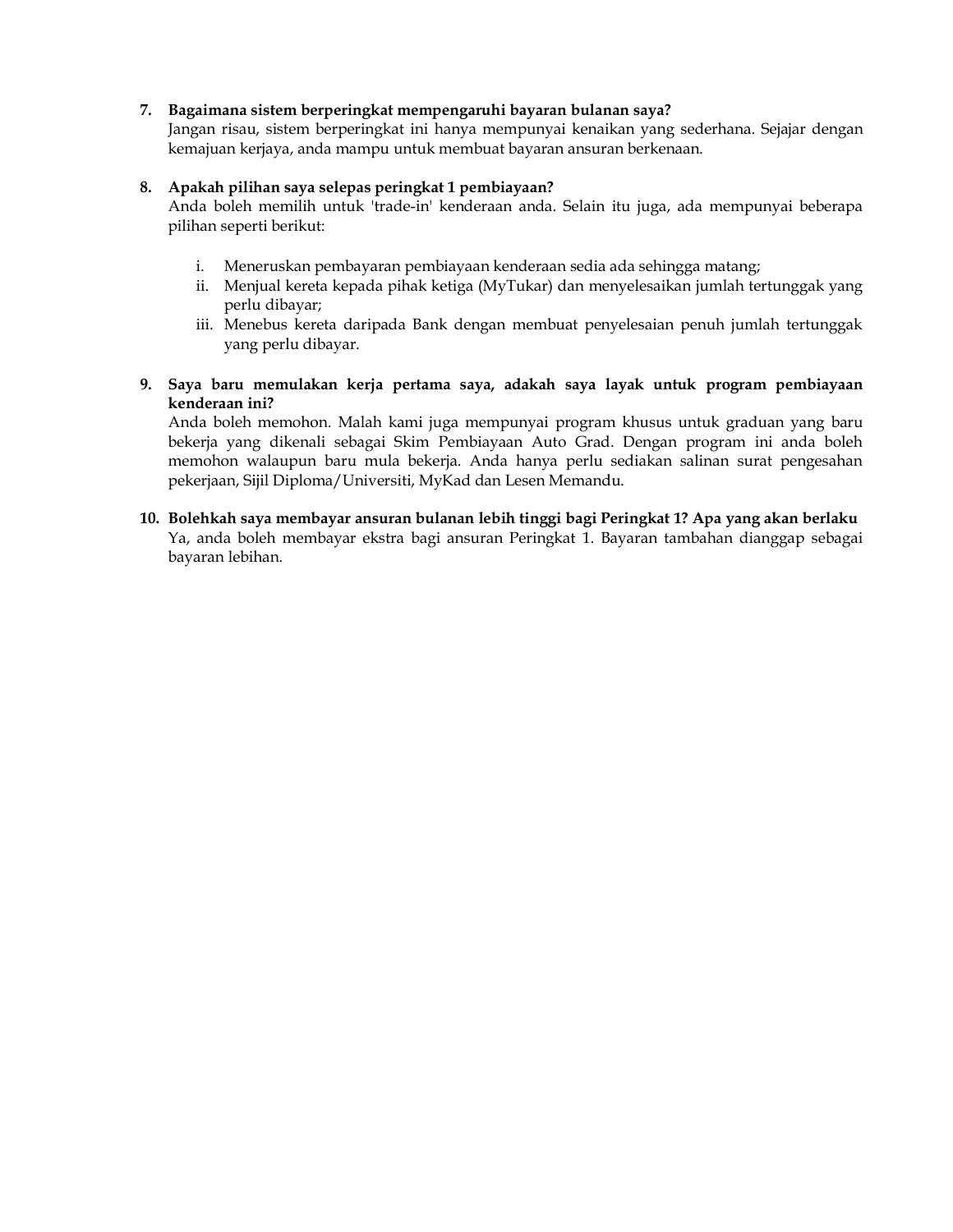## **7. Bagaimana sistem berperingkat mempengaruhi bayaran bulanan saya?**

Jangan risau, sistem berperingkat ini hanya mempunyai kenaikan yang sederhana. Sejajar dengan kemajuan kerjaya, anda mampu untuk membuat bayaran ansuran berkenaan.

### **8. Apakah pilihan saya selepas peringkat 1 pembiayaan?**

Anda boleh memilih untuk 'trade-in' kenderaan anda. Selain itu juga, ada mempunyai beberapa pilihan seperti berikut:

- i. Meneruskan pembayaran pembiayaan kenderaan sedia ada sehingga matang;
- ii. Menjual kereta kepada pihak ketiga (MyTukar) dan menyelesaikan jumlah tertunggak yang perlu dibayar;
- iii. Menebus kereta daripada Bank dengan membuat penyelesaian penuh jumlah tertunggak yang perlu dibayar.
- **9. Saya baru memulakan kerja pertama saya, adakah saya layak untuk program pembiayaan kenderaan ini?**

Anda boleh memohon. Malah kami juga mempunyai program khusus untuk graduan yang baru bekerja yang dikenali sebagai Skim Pembiayaan Auto Grad. Dengan program ini anda boleh memohon walaupun baru mula bekerja. Anda hanya perlu sediakan salinan surat pengesahan pekerjaan, Sijil Diploma/Universiti, MyKad dan Lesen Memandu.

**10. Bolehkah saya membayar ansuran bulanan lebih tinggi bagi Peringkat 1? Apa yang akan berlaku**  Ya, anda boleh membayar ekstra bagi ansuran Peringkat 1. Bayaran tambahan dianggap sebagai bayaran lebihan.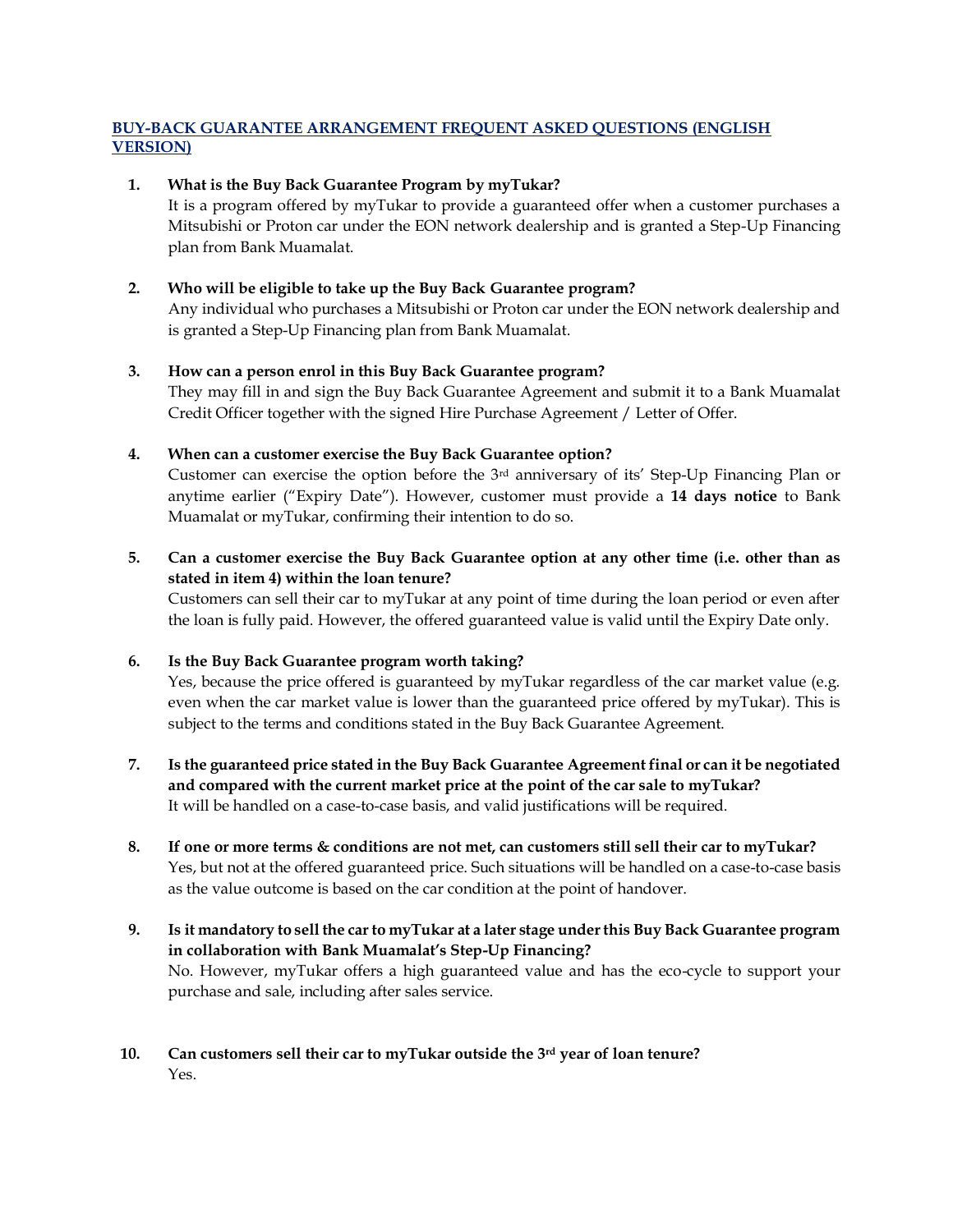# **BUY-BACK GUARANTEE ARRANGEMENT FREQUENT ASKED QUESTIONS (ENGLISH VERSION)**

# **1. What is the Buy Back Guarantee Program by myTukar?**

It is a program offered by myTukar to provide a guaranteed offer when a customer purchases a Mitsubishi or Proton car under the EON network dealership and is granted a Step-Up Financing plan from Bank Muamalat.

## **2. Who will be eligible to take up the Buy Back Guarantee program?**

Any individual who purchases a Mitsubishi or Proton car under the EON network dealership and is granted a Step-Up Financing plan from Bank Muamalat.

# **3. How can a person enrol in this Buy Back Guarantee program?**

They may fill in and sign the Buy Back Guarantee Agreement and submit it to a Bank Muamalat Credit Officer together with the signed Hire Purchase Agreement / Letter of Offer.

## **4. When can a customer exercise the Buy Back Guarantee option?**

Customer can exercise the option before the 3rd anniversary of its' Step-Up Financing Plan or anytime earlier ("Expiry Date"). However, customer must provide a **14 days notice** to Bank Muamalat or myTukar, confirming their intention to do so.

# **5. Can a customer exercise the Buy Back Guarantee option at any other time (i.e. other than as stated in item 4) within the loan tenure?**

Customers can sell their car to myTukar at any point of time during the loan period or even after the loan is fully paid. However, the offered guaranteed value is valid until the Expiry Date only.

## **6. Is the Buy Back Guarantee program worth taking?**

Yes, because the price offered is guaranteed by myTukar regardless of the car market value (e.g. even when the car market value is lower than the guaranteed price offered by myTukar). This is subject to the terms and conditions stated in the Buy Back Guarantee Agreement.

- **7. Is the guaranteed price stated in the Buy Back Guarantee Agreement final or can it be negotiated and compared with the current market price at the point of the car sale to myTukar?** It will be handled on a case-to-case basis, and valid justifications will be required.
- **8. If one or more terms & conditions are not met, can customers still sell their car to myTukar?** Yes, but not at the offered guaranteed price. Such situations will be handled on a case-to-case basis as the value outcome is based on the car condition at the point of handover.
- **9. Is it mandatory to sell the car to myTukar at a later stage under this Buy Back Guarantee program in collaboration with Bank Muamalat's Step-Up Financing?** No. However, myTukar offers a high guaranteed value and has the eco-cycle to support your purchase and sale, including after sales service.

# **10. Can customers sell their car to myTukar outside the 3rd year of loan tenure?** Yes.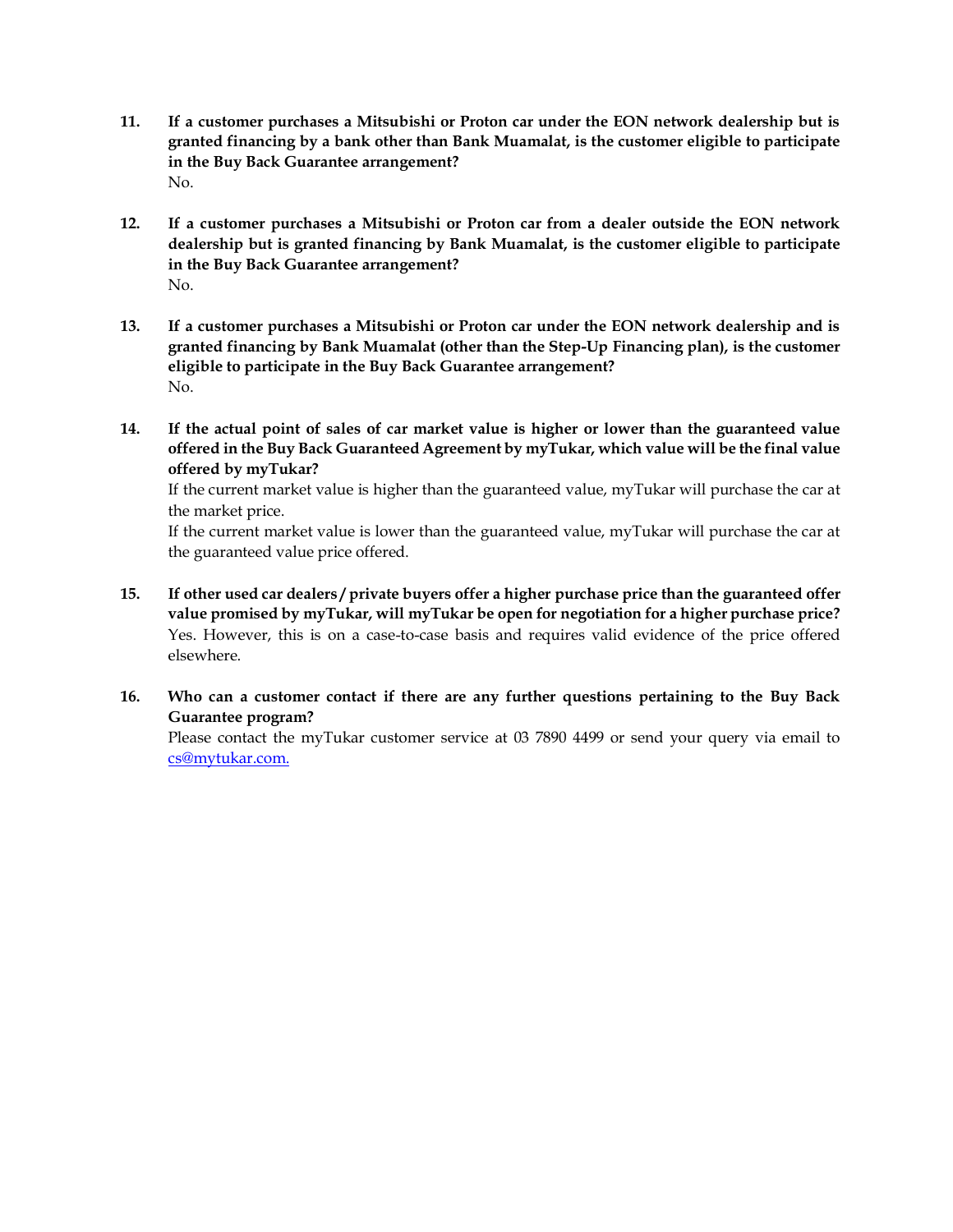- **11. If a customer purchases a Mitsubishi or Proton car under the EON network dealership but is granted financing by a bank other than Bank Muamalat, is the customer eligible to participate in the Buy Back Guarantee arrangement?** No.
- **12. If a customer purchases a Mitsubishi or Proton car from a dealer outside the EON network dealership but is granted financing by Bank Muamalat, is the customer eligible to participate in the Buy Back Guarantee arrangement?** No.
- **13. If a customer purchases a Mitsubishi or Proton car under the EON network dealership and is granted financing by Bank Muamalat (other than the Step-Up Financing plan), is the customer eligible to participate in the Buy Back Guarantee arrangement?** No.
- **14. If the actual point of sales of car market value is higher or lower than the guaranteed value offered in the Buy Back Guaranteed Agreement by myTukar, which value will be the final value offered by myTukar?**

If the current market value is higher than the guaranteed value, myTukar will purchase the car at the market price.

If the current market value is lower than the guaranteed value, myTukar will purchase the car at the guaranteed value price offered.

- **15. If other used car dealers / private buyers offer a higher purchase price than the guaranteed offer value promised by myTukar, will myTukar be open for negotiation for a higher purchase price?** Yes. However, this is on a case-to-case basis and requires valid evidence of the price offered elsewhere.
- **16. Who can a customer contact if there are any further questions pertaining to the Buy Back Guarantee program?** Please contact the myTukar customer service at 03 7890 4499 or send your query via email to [cs@mytukar.com.](mailto:cs@mytukar.com)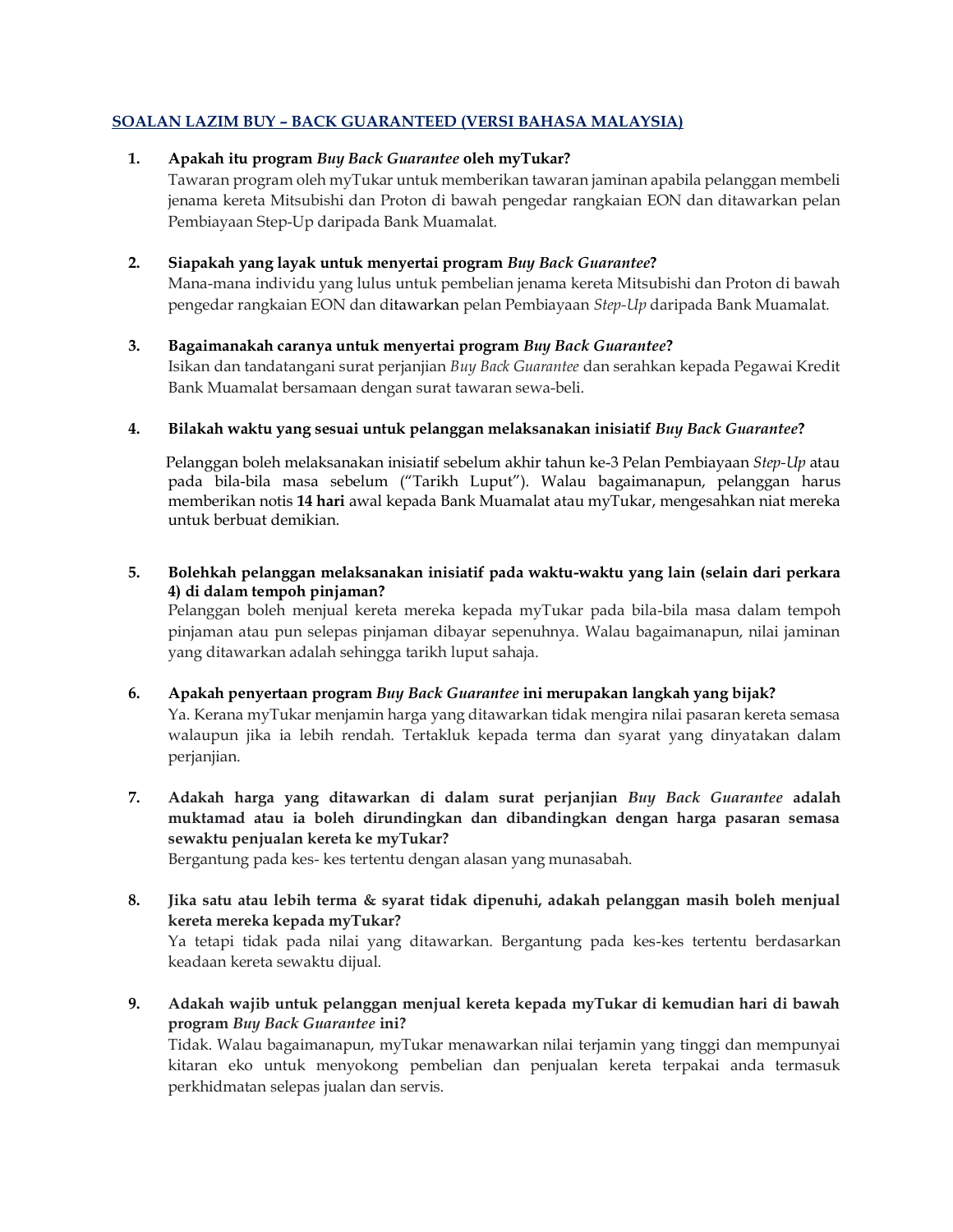# **SOALAN LAZIM BUY – BACK GUARANTEED (VERSI BAHASA MALAYSIA)**

## **1. Apakah itu program** *Buy Back Guarantee* **oleh myTukar?**

Tawaran program oleh myTukar untuk memberikan tawaran jaminan apabila pelanggan membeli jenama kereta Mitsubishi dan Proton di bawah pengedar rangkaian EON dan ditawarkan pelan Pembiayaan Step-Up daripada Bank Muamalat.

## **2. Siapakah yang layak untuk menyertai program** *Buy Back Guarantee***?**

Mana-mana individu yang lulus untuk pembelian jenama kereta Mitsubishi dan Proton di bawah pengedar rangkaian EON dan ditawarkan pelan Pembiayaan *Step-Up* daripada Bank Muamalat.

### **3. Bagaimanakah caranya untuk menyertai program** *Buy Back Guarantee***?**

Isikan dan tandatangani surat perjanjian *Buy Back Guarantee* dan serahkan kepada Pegawai Kredit Bank Muamalat bersamaan dengan surat tawaran sewa-beli.

## **4. Bilakah waktu yang sesuai untuk pelanggan melaksanakan inisiatif** *Buy Back Guarantee***?**

 Pelanggan boleh melaksanakan inisiatif sebelum akhir tahun ke-3 Pelan Pembiayaan *Step-Up* atau pada bila-bila masa sebelum ("Tarikh Luput"). Walau bagaimanapun, pelanggan harus memberikan notis **14 hari** awal kepada Bank Muamalat atau myTukar, mengesahkan niat mereka untuk berbuat demikian.

## **5. Bolehkah pelanggan melaksanakan inisiatif pada waktu-waktu yang lain (selain dari perkara 4) di dalam tempoh pinjaman?**

Pelanggan boleh menjual kereta mereka kepada myTukar pada bila-bila masa dalam tempoh pinjaman atau pun selepas pinjaman dibayar sepenuhnya. Walau bagaimanapun, nilai jaminan yang ditawarkan adalah sehingga tarikh luput sahaja.

### **6. Apakah penyertaan program** *Buy Back Guarantee* **ini merupakan langkah yang bijak?** Ya. Kerana myTukar menjamin harga yang ditawarkan tidak mengira nilai pasaran kereta semasa

walaupun jika ia lebih rendah. Tertakluk kepada terma dan syarat yang dinyatakan dalam perjanjian.

**7. Adakah harga yang ditawarkan di dalam surat perjanjian** *Buy Back Guarantee* **adalah muktamad atau ia boleh dirundingkan dan dibandingkan dengan harga pasaran semasa sewaktu penjualan kereta ke myTukar?**

Bergantung pada kes- kes tertentu dengan alasan yang munasabah.

- **8. Jika satu atau lebih terma & syarat tidak dipenuhi, adakah pelanggan masih boleh menjual kereta mereka kepada myTukar?** Ya tetapi tidak pada nilai yang ditawarkan. Bergantung pada kes-kes tertentu berdasarkan keadaan kereta sewaktu dijual.
- **9. Adakah wajib untuk pelanggan menjual kereta kepada myTukar di kemudian hari di bawah program** *Buy Back Guarantee* **ini?**

Tidak. Walau bagaimanapun, myTukar menawarkan nilai terjamin yang tinggi dan mempunyai kitaran eko untuk menyokong pembelian dan penjualan kereta terpakai anda termasuk perkhidmatan selepas jualan dan servis.